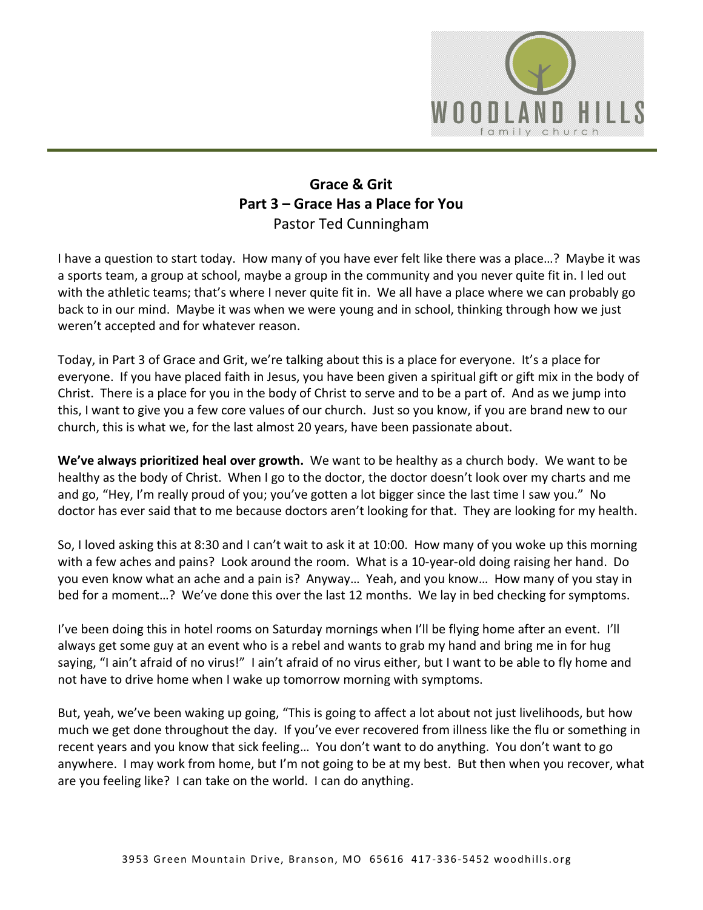

## **Grace & Grit Part 3 – Grace Has a Place for You** Pastor Ted Cunningham

I have a question to start today. How many of you have ever felt like there was a place…? Maybe it was a sports team, a group at school, maybe a group in the community and you never quite fit in. I led out with the athletic teams; that's where I never quite fit in. We all have a place where we can probably go back to in our mind. Maybe it was when we were young and in school, thinking through how we just weren't accepted and for whatever reason.

Today, in Part 3 of Grace and Grit, we're talking about this is a place for everyone. It's a place for everyone. If you have placed faith in Jesus, you have been given a spiritual gift or gift mix in the body of Christ. There is a place for you in the body of Christ to serve and to be a part of. And as we jump into this, I want to give you a few core values of our church. Just so you know, if you are brand new to our church, this is what we, for the last almost 20 years, have been passionate about.

**We've always prioritized heal over growth.** We want to be healthy as a church body. We want to be healthy as the body of Christ. When I go to the doctor, the doctor doesn't look over my charts and me and go, "Hey, I'm really proud of you; you've gotten a lot bigger since the last time I saw you." No doctor has ever said that to me because doctors aren't looking for that. They are looking for my health.

So, I loved asking this at 8:30 and I can't wait to ask it at 10:00. How many of you woke up this morning with a few aches and pains? Look around the room. What is a 10-year-old doing raising her hand. Do you even know what an ache and a pain is? Anyway… Yeah, and you know… How many of you stay in bed for a moment…? We've done this over the last 12 months. We lay in bed checking for symptoms.

I've been doing this in hotel rooms on Saturday mornings when I'll be flying home after an event. I'll always get some guy at an event who is a rebel and wants to grab my hand and bring me in for hug saying, "I ain't afraid of no virus!" I ain't afraid of no virus either, but I want to be able to fly home and not have to drive home when I wake up tomorrow morning with symptoms.

But, yeah, we've been waking up going, "This is going to affect a lot about not just livelihoods, but how much we get done throughout the day. If you've ever recovered from illness like the flu or something in recent years and you know that sick feeling… You don't want to do anything. You don't want to go anywhere. I may work from home, but I'm not going to be at my best. But then when you recover, what are you feeling like? I can take on the world. I can do anything.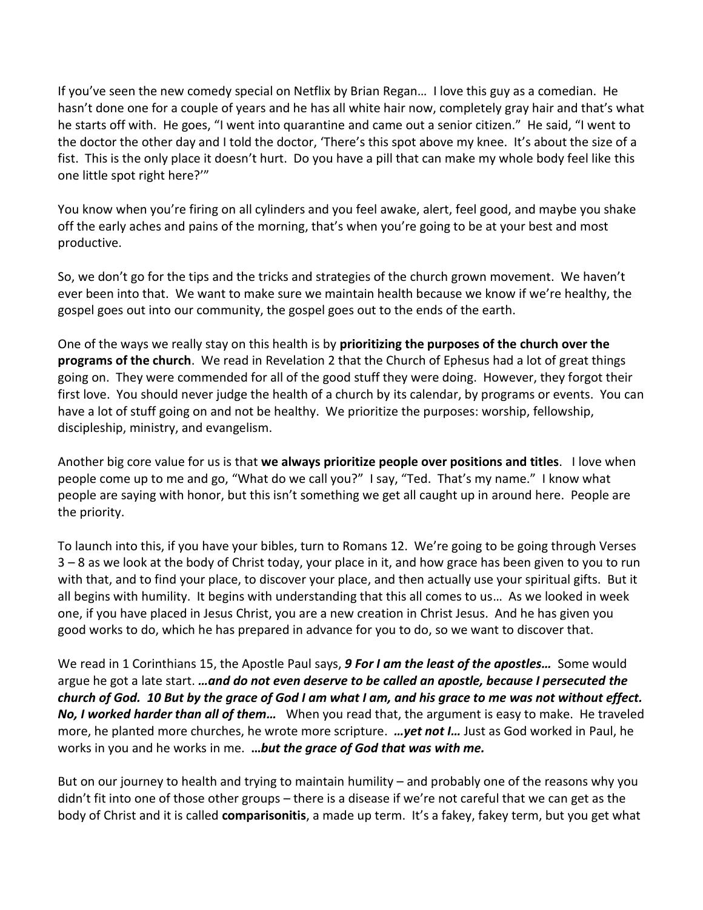If you've seen the new comedy special on Netflix by Brian Regan… I love this guy as a comedian. He hasn't done one for a couple of years and he has all white hair now, completely gray hair and that's what he starts off with. He goes, "I went into quarantine and came out a senior citizen." He said, "I went to the doctor the other day and I told the doctor, 'There's this spot above my knee. It's about the size of a fist. This is the only place it doesn't hurt. Do you have a pill that can make my whole body feel like this one little spot right here?'"

You know when you're firing on all cylinders and you feel awake, alert, feel good, and maybe you shake off the early aches and pains of the morning, that's when you're going to be at your best and most productive.

So, we don't go for the tips and the tricks and strategies of the church grown movement. We haven't ever been into that. We want to make sure we maintain health because we know if we're healthy, the gospel goes out into our community, the gospel goes out to the ends of the earth.

One of the ways we really stay on this health is by **prioritizing the purposes of the church over the programs of the church**. We read in Revelation 2 that the Church of Ephesus had a lot of great things going on. They were commended for all of the good stuff they were doing. However, they forgot their first love. You should never judge the health of a church by its calendar, by programs or events. You can have a lot of stuff going on and not be healthy. We prioritize the purposes: worship, fellowship, discipleship, ministry, and evangelism.

Another big core value for us is that **we always prioritize people over positions and titles**. I love when people come up to me and go, "What do we call you?" I say, "Ted. That's my name." I know what people are saying with honor, but this isn't something we get all caught up in around here. People are the priority.

To launch into this, if you have your bibles, turn to Romans 12. We're going to be going through Verses 3 – 8 as we look at the body of Christ today, your place in it, and how grace has been given to you to run with that, and to find your place, to discover your place, and then actually use your spiritual gifts. But it all begins with humility. It begins with understanding that this all comes to us… As we looked in week one, if you have placed in Jesus Christ, you are a new creation in Christ Jesus. And he has given you good works to do, which he has prepared in advance for you to do, so we want to discover that.

We read in 1 Corinthians 15, the Apostle Paul says, *9 For I am the least of the apostles…* Some would argue he got a late start. *…and do not even deserve to be called an apostle, because I persecuted the church of God. 10 But by the grace of God I am what I am, and his grace to me was not without effect. No, I worked harder than all of them…* When you read that, the argument is easy to make. He traveled more, he planted more churches, he wrote more scripture. *…yet not I…* Just as God worked in Paul, he works in you and he works in me. **…***but the grace of God that was with me.*

But on our journey to health and trying to maintain humility – and probably one of the reasons why you didn't fit into one of those other groups – there is a disease if we're not careful that we can get as the body of Christ and it is called **comparisonitis**, a made up term. It's a fakey, fakey term, but you get what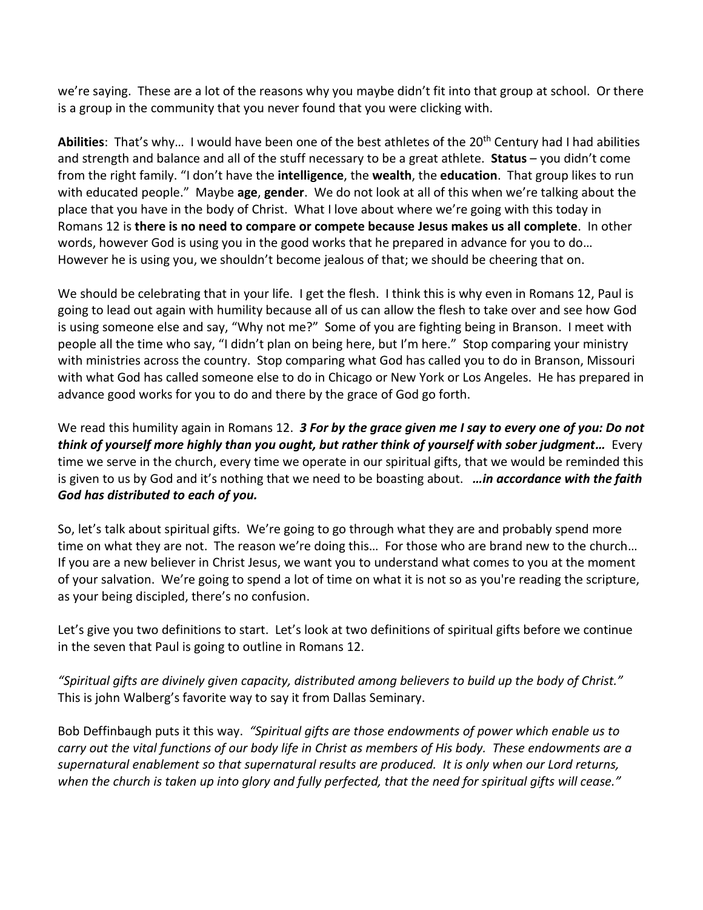we're saying. These are a lot of the reasons why you maybe didn't fit into that group at school. Or there is a group in the community that you never found that you were clicking with.

**Abilities**: That's why… I would have been one of the best athletes of the 20th Century had I had abilities and strength and balance and all of the stuff necessary to be a great athlete. **Status** – you didn't come from the right family. "I don't have the **intelligence**, the **wealth**, the **education**. That group likes to run with educated people." Maybe **age**, **gender**. We do not look at all of this when we're talking about the place that you have in the body of Christ. What I love about where we're going with this today in Romans 12 is **there is no need to compare or compete because Jesus makes us all complete**. In other words, however God is using you in the good works that he prepared in advance for you to do… However he is using you, we shouldn't become jealous of that; we should be cheering that on.

We should be celebrating that in your life. I get the flesh. I think this is why even in Romans 12, Paul is going to lead out again with humility because all of us can allow the flesh to take over and see how God is using someone else and say, "Why not me?" Some of you are fighting being in Branson. I meet with people all the time who say, "I didn't plan on being here, but I'm here." Stop comparing your ministry with ministries across the country. Stop comparing what God has called you to do in Branson, Missouri with what God has called someone else to do in Chicago or New York or Los Angeles. He has prepared in advance good works for you to do and there by the grace of God go forth.

We read this humility again in Romans 12. *3 For by the grace given me I say to every one of you: Do not think of yourself more highly than you ought, but rather think of yourself with sober judgment…* Every time we serve in the church, every time we operate in our spiritual gifts, that we would be reminded this is given to us by God and it's nothing that we need to be boasting about. *…in accordance with the faith God has distributed to each of you.*

So, let's talk about spiritual gifts. We're going to go through what they are and probably spend more time on what they are not. The reason we're doing this… For those who are brand new to the church… If you are a new believer in Christ Jesus, we want you to understand what comes to you at the moment of your salvation. We're going to spend a lot of time on what it is not so as you're reading the scripture, as your being discipled, there's no confusion.

Let's give you two definitions to start. Let's look at two definitions of spiritual gifts before we continue in the seven that Paul is going to outline in Romans 12.

*"Spiritual gifts are divinely given capacity, distributed among believers to build up the body of Christ."*  This is john Walberg's favorite way to say it from Dallas Seminary.

Bob Deffinbaugh puts it this way. *"Spiritual gifts are those endowments of power which enable us to carry out the vital functions of our body life in Christ as members of His body. These endowments are a supernatural enablement so that supernatural results are produced. It is only when our Lord returns, when the church is taken up into glory and fully perfected, that the need for spiritual gifts will cease."*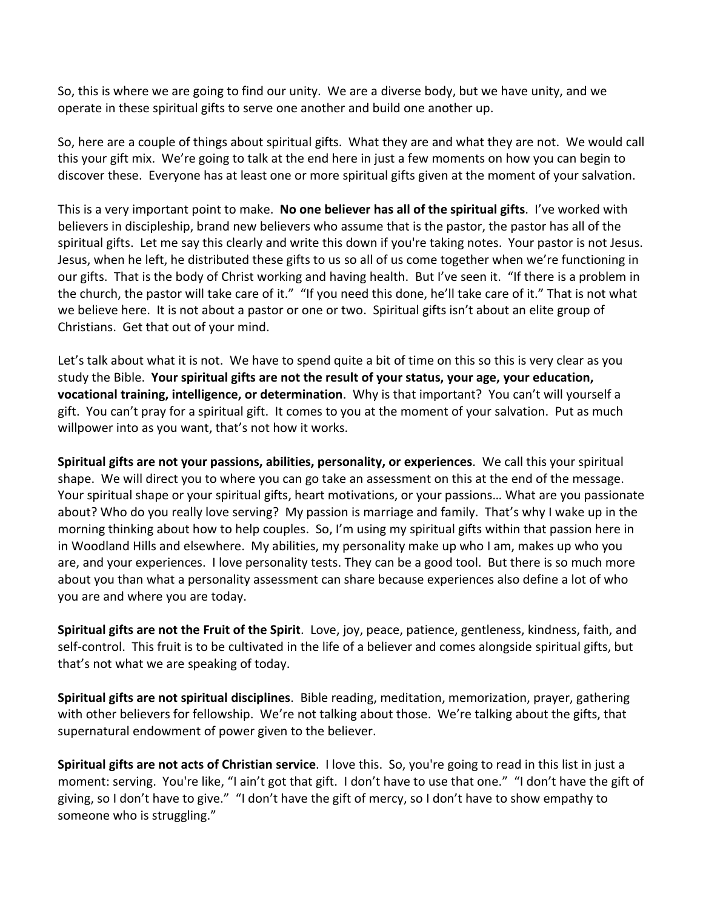So, this is where we are going to find our unity. We are a diverse body, but we have unity, and we operate in these spiritual gifts to serve one another and build one another up.

So, here are a couple of things about spiritual gifts. What they are and what they are not. We would call this your gift mix. We're going to talk at the end here in just a few moments on how you can begin to discover these. Everyone has at least one or more spiritual gifts given at the moment of your salvation.

This is a very important point to make. **No one believer has all of the spiritual gifts**. I've worked with believers in discipleship, brand new believers who assume that is the pastor, the pastor has all of the spiritual gifts. Let me say this clearly and write this down if you're taking notes. Your pastor is not Jesus. Jesus, when he left, he distributed these gifts to us so all of us come together when we're functioning in our gifts. That is the body of Christ working and having health. But I've seen it. "If there is a problem in the church, the pastor will take care of it." "If you need this done, he'll take care of it." That is not what we believe here. It is not about a pastor or one or two. Spiritual gifts isn't about an elite group of Christians. Get that out of your mind.

Let's talk about what it is not. We have to spend quite a bit of time on this so this is very clear as you study the Bible. **Your spiritual gifts are not the result of your status, your age, your education, vocational training, intelligence, or determination**. Why is that important? You can't will yourself a gift. You can't pray for a spiritual gift. It comes to you at the moment of your salvation. Put as much willpower into as you want, that's not how it works.

**Spiritual gifts are not your passions, abilities, personality, or experiences**. We call this your spiritual shape. We will direct you to where you can go take an assessment on this at the end of the message. Your spiritual shape or your spiritual gifts, heart motivations, or your passions… What are you passionate about? Who do you really love serving? My passion is marriage and family. That's why I wake up in the morning thinking about how to help couples. So, I'm using my spiritual gifts within that passion here in in Woodland Hills and elsewhere. My abilities, my personality make up who I am, makes up who you are, and your experiences. I love personality tests. They can be a good tool. But there is so much more about you than what a personality assessment can share because experiences also define a lot of who you are and where you are today.

**Spiritual gifts are not the Fruit of the Spirit**. Love, joy, peace, patience, gentleness, kindness, faith, and self-control. This fruit is to be cultivated in the life of a believer and comes alongside spiritual gifts, but that's not what we are speaking of today.

**Spiritual gifts are not spiritual disciplines**. Bible reading, meditation, memorization, prayer, gathering with other believers for fellowship. We're not talking about those. We're talking about the gifts, that supernatural endowment of power given to the believer.

**Spiritual gifts are not acts of Christian service**. I love this. So, you're going to read in this list in just a moment: serving. You're like, "I ain't got that gift. I don't have to use that one." "I don't have the gift of giving, so I don't have to give." "I don't have the gift of mercy, so I don't have to show empathy to someone who is struggling."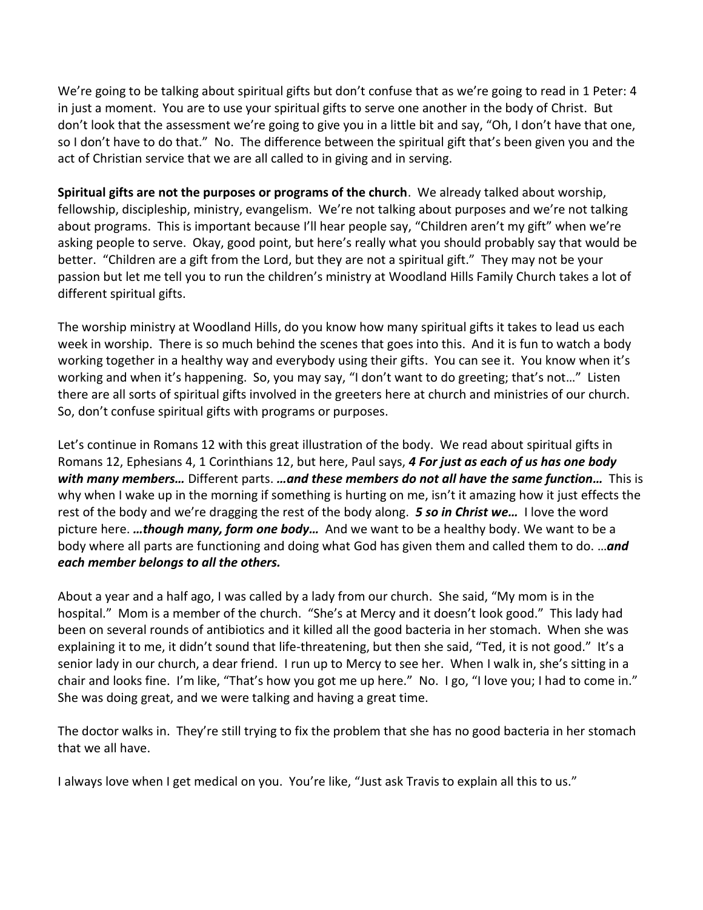We're going to be talking about spiritual gifts but don't confuse that as we're going to read in 1 Peter: 4 in just a moment. You are to use your spiritual gifts to serve one another in the body of Christ. But don't look that the assessment we're going to give you in a little bit and say, "Oh, I don't have that one, so I don't have to do that." No. The difference between the spiritual gift that's been given you and the act of Christian service that we are all called to in giving and in serving.

**Spiritual gifts are not the purposes or programs of the church**. We already talked about worship, fellowship, discipleship, ministry, evangelism. We're not talking about purposes and we're not talking about programs. This is important because I'll hear people say, "Children aren't my gift" when we're asking people to serve. Okay, good point, but here's really what you should probably say that would be better. "Children are a gift from the Lord, but they are not a spiritual gift." They may not be your passion but let me tell you to run the children's ministry at Woodland Hills Family Church takes a lot of different spiritual gifts.

The worship ministry at Woodland Hills, do you know how many spiritual gifts it takes to lead us each week in worship. There is so much behind the scenes that goes into this. And it is fun to watch a body working together in a healthy way and everybody using their gifts. You can see it. You know when it's working and when it's happening. So, you may say, "I don't want to do greeting; that's not…" Listen there are all sorts of spiritual gifts involved in the greeters here at church and ministries of our church. So, don't confuse spiritual gifts with programs or purposes.

Let's continue in Romans 12 with this great illustration of the body. We read about spiritual gifts in Romans 12, Ephesians 4, 1 Corinthians 12, but here, Paul says, *4 For just as each of us has one body with many members…* Different parts. *…and these members do not all have the same function…* This is why when I wake up in the morning if something is hurting on me, isn't it amazing how it just effects the rest of the body and we're dragging the rest of the body along. *5 so in Christ we…* I love the word picture here. *…though many, form one body…* And we want to be a healthy body. We want to be a body where all parts are functioning and doing what God has given them and called them to do. …*and each member belongs to all the others.*

About a year and a half ago, I was called by a lady from our church. She said, "My mom is in the hospital." Mom is a member of the church. "She's at Mercy and it doesn't look good." This lady had been on several rounds of antibiotics and it killed all the good bacteria in her stomach. When she was explaining it to me, it didn't sound that life-threatening, but then she said, "Ted, it is not good." It's a senior lady in our church, a dear friend. I run up to Mercy to see her. When I walk in, she's sitting in a chair and looks fine. I'm like, "That's how you got me up here." No. I go, "I love you; I had to come in." She was doing great, and we were talking and having a great time.

The doctor walks in. They're still trying to fix the problem that she has no good bacteria in her stomach that we all have.

I always love when I get medical on you. You're like, "Just ask Travis to explain all this to us."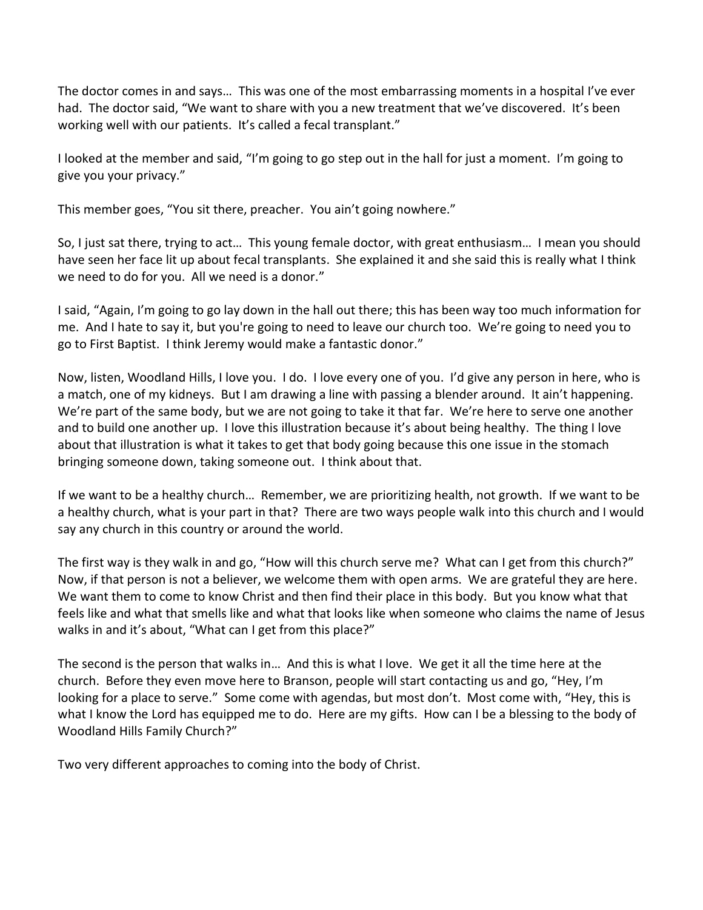The doctor comes in and says… This was one of the most embarrassing moments in a hospital I've ever had. The doctor said, "We want to share with you a new treatment that we've discovered. It's been working well with our patients. It's called a fecal transplant."

I looked at the member and said, "I'm going to go step out in the hall for just a moment. I'm going to give you your privacy."

This member goes, "You sit there, preacher. You ain't going nowhere."

So, I just sat there, trying to act… This young female doctor, with great enthusiasm… I mean you should have seen her face lit up about fecal transplants. She explained it and she said this is really what I think we need to do for you. All we need is a donor."

I said, "Again, I'm going to go lay down in the hall out there; this has been way too much information for me. And I hate to say it, but you're going to need to leave our church too. We're going to need you to go to First Baptist. I think Jeremy would make a fantastic donor."

Now, listen, Woodland Hills, I love you. I do. I love every one of you. I'd give any person in here, who is a match, one of my kidneys. But I am drawing a line with passing a blender around. It ain't happening. We're part of the same body, but we are not going to take it that far. We're here to serve one another and to build one another up. I love this illustration because it's about being healthy. The thing I love about that illustration is what it takes to get that body going because this one issue in the stomach bringing someone down, taking someone out. I think about that.

If we want to be a healthy church… Remember, we are prioritizing health, not growth. If we want to be a healthy church, what is your part in that? There are two ways people walk into this church and I would say any church in this country or around the world.

The first way is they walk in and go, "How will this church serve me? What can I get from this church?" Now, if that person is not a believer, we welcome them with open arms. We are grateful they are here. We want them to come to know Christ and then find their place in this body. But you know what that feels like and what that smells like and what that looks like when someone who claims the name of Jesus walks in and it's about, "What can I get from this place?"

The second is the person that walks in… And this is what I love. We get it all the time here at the church. Before they even move here to Branson, people will start contacting us and go, "Hey, I'm looking for a place to serve." Some come with agendas, but most don't. Most come with, "Hey, this is what I know the Lord has equipped me to do. Here are my gifts. How can I be a blessing to the body of Woodland Hills Family Church?"

Two very different approaches to coming into the body of Christ.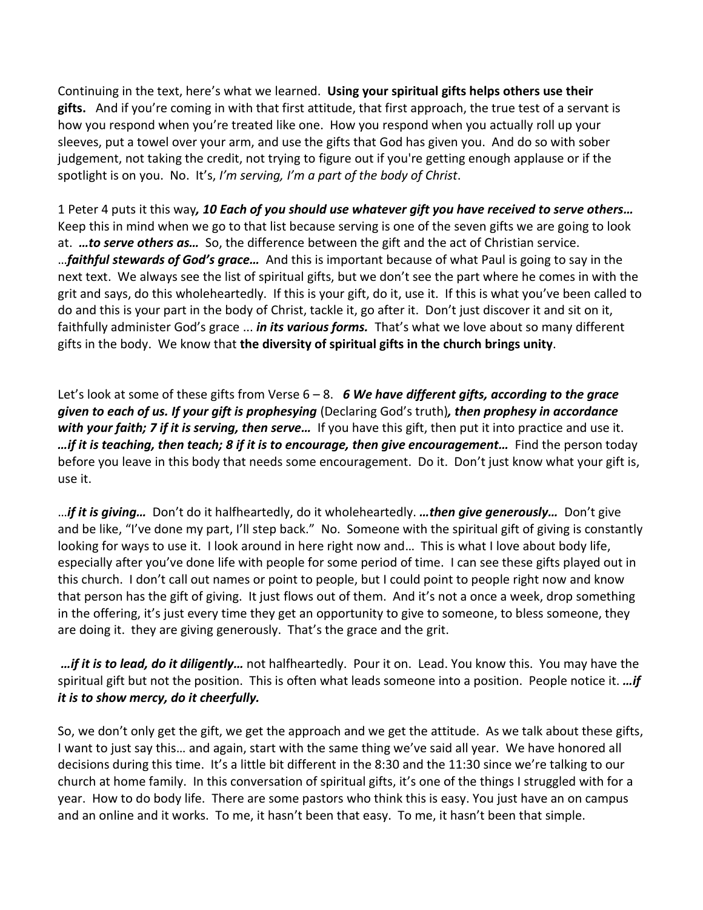Continuing in the text, here's what we learned. **Using your spiritual gifts helps others use their gifts.** And if you're coming in with that first attitude, that first approach, the true test of a servant is how you respond when you're treated like one. How you respond when you actually roll up your sleeves, put a towel over your arm, and use the gifts that God has given you. And do so with sober judgement, not taking the credit, not trying to figure out if you're getting enough applause or if the spotlight is on you. No. It's, *I'm serving, I'm a part of the body of Christ*.

1 Peter 4 puts it this way*, 10 Each of you should use whatever gift you have received to serve others…* Keep this in mind when we go to that list because serving is one of the seven gifts we are going to look at. *…to serve others as…* So, the difference between the gift and the act of Christian service. …*faithful stewards of God's grace…* And this is important because of what Paul is going to say in the next text. We always see the list of spiritual gifts, but we don't see the part where he comes in with the grit and says, do this wholeheartedly. If this is your gift, do it, use it. If this is what you've been called to do and this is your part in the body of Christ, tackle it, go after it. Don't just discover it and sit on it, faithfully administer God's grace ... *in its various forms.* That's what we love about so many different gifts in the body. We know that **the diversity of spiritual gifts in the church brings unity**.

Let's look at some of these gifts from Verse 6 – 8. *6 We have different gifts, according to the grace given to each of us. If your gift is prophesying* (Declaring God's truth)*, then prophesy in accordance with your faith; 7 if it is serving, then serve…* If you have this gift, then put it into practice and use it. *…if it is teaching, then teach; 8 if it is to encourage, then give encouragement…* Find the person today before you leave in this body that needs some encouragement. Do it. Don't just know what your gift is, use it.

…*if it is giving…* Don't do it halfheartedly, do it wholeheartedly. *…then give generously…* Don't give and be like, "I've done my part, I'll step back." No. Someone with the spiritual gift of giving is constantly looking for ways to use it. I look around in here right now and… This is what I love about body life, especially after you've done life with people for some period of time. I can see these gifts played out in this church. I don't call out names or point to people, but I could point to people right now and know that person has the gift of giving. It just flows out of them. And it's not a once a week, drop something in the offering, it's just every time they get an opportunity to give to someone, to bless someone, they are doing it. they are giving generously. That's the grace and the grit.

*…if it is to lead, do it diligently…* not halfheartedly. Pour it on. Lead. You know this. You may have the spiritual gift but not the position. This is often what leads someone into a position. People notice it. *…if it is to show mercy, do it cheerfully.*

So, we don't only get the gift, we get the approach and we get the attitude. As we talk about these gifts, I want to just say this… and again, start with the same thing we've said all year. We have honored all decisions during this time. It's a little bit different in the 8:30 and the 11:30 since we're talking to our church at home family. In this conversation of spiritual gifts, it's one of the things I struggled with for a year. How to do body life. There are some pastors who think this is easy. You just have an on campus and an online and it works. To me, it hasn't been that easy. To me, it hasn't been that simple.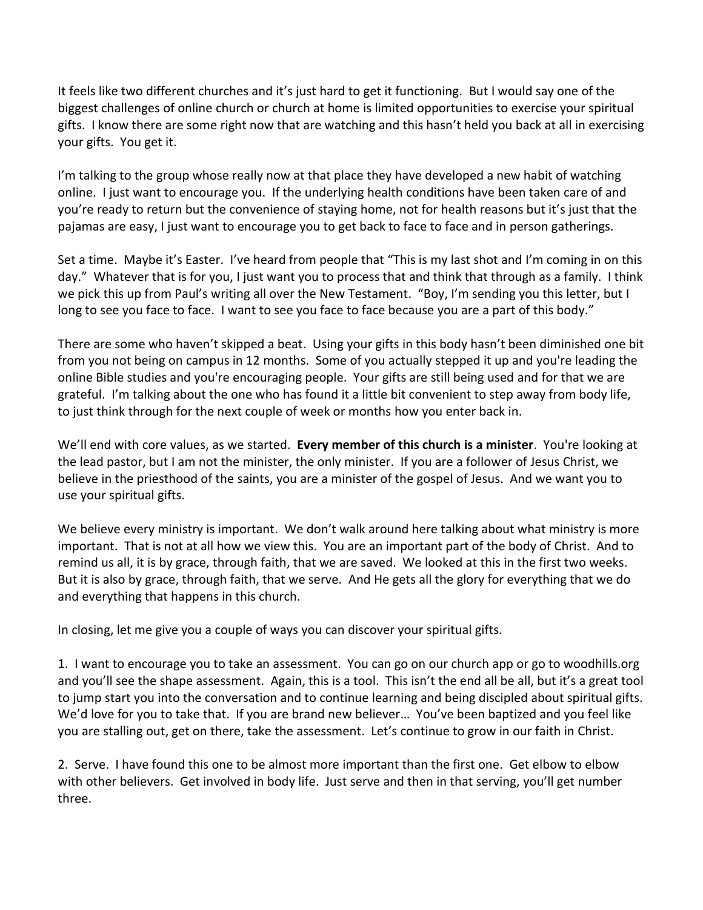It feels like two different churches and it's just hard to get it functioning. But I would say one of the biggest challenges of online church or church at home is limited opportunities to exercise your spiritual gifts. I know there are some right now that are watching and this hasn't held you back at all in exercising your gifts. You get it.

I'm talking to the group whose really now at that place they have developed a new habit of watching online. I just want to encourage you. If the underlying health conditions have been taken care of and you're ready to return but the convenience of staying home, not for health reasons but it's just that the pajamas are easy, I just want to encourage you to get back to face to face and in person gatherings.

Set a time. Maybe it's Easter. I've heard from people that "This is my last shot and I'm coming in on this day." Whatever that is for you, I just want you to process that and think that through as a family. I think we pick this up from Paul's writing all over the New Testament. "Boy, I'm sending you this letter, but I long to see you face to face. I want to see you face to face because you are a part of this body."

There are some who haven't skipped a beat. Using your gifts in this body hasn't been diminished one bit from you not being on campus in 12 months. Some of you actually stepped it up and you're leading the online Bible studies and you're encouraging people. Your gifts are still being used and for that we are grateful. I'm talking about the one who has found it a little bit convenient to step away from body life, to just think through for the next couple of week or months how you enter back in.

We'll end with core values, as we started. **Every member of this church is a minister**. You're looking at the lead pastor, but I am not the minister, the only minister. If you are a follower of Jesus Christ, we believe in the priesthood of the saints, you are a minister of the gospel of Jesus. And we want you to use your spiritual gifts.

We believe every ministry is important. We don't walk around here talking about what ministry is more important. That is not at all how we view this. You are an important part of the body of Christ. And to remind us all, it is by grace, through faith, that we are saved. We looked at this in the first two weeks. But it is also by grace, through faith, that we serve. And He gets all the glory for everything that we do and everything that happens in this church.

In closing, let me give you a couple of ways you can discover your spiritual gifts.

1. I want to encourage you to take an assessment. You can go on our church app or go to woodhills.org and you'll see the shape assessment. Again, this is a tool. This isn't the end all be all, but it's a great tool to jump start you into the conversation and to continue learning and being discipled about spiritual gifts. We'd love for you to take that. If you are brand new believer… You've been baptized and you feel like you are stalling out, get on there, take the assessment. Let's continue to grow in our faith in Christ.

2. Serve. I have found this one to be almost more important than the first one. Get elbow to elbow with other believers. Get involved in body life. Just serve and then in that serving, you'll get number three.